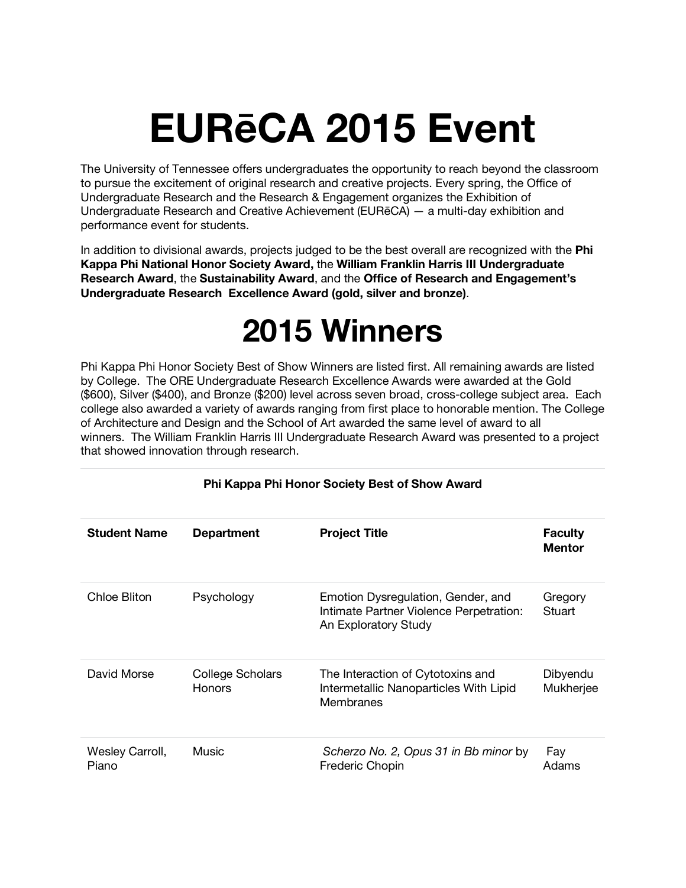# **EURēCA 2015 Event**

The University of Tennessee offers undergraduates the opportunity to reach beyond the classroom to pursue the excitement of original research and creative projects. Every spring, the Office of Undergraduate Research and the Research & Engagement organizes the Exhibition of Undergraduate Research and Creative Achievement (EURēCA) — a multi-day exhibition and performance event for students.

In addition to divisional awards, projects judged to be the best overall are recognized with the **Phi Kappa Phi National Honor Society Award,** the **William Franklin Harris III Undergraduate Research Award**, the **Sustainability Award**, and the **Office of Research and Engagement's Undergraduate Research Excellence Award (gold, silver and bronze)**.

# **2015 Winners**

Phi Kappa Phi Honor Society Best of Show Winners are listed first. All remaining awards are listed by College. The ORE Undergraduate Research Excellence Awards were awarded at the Gold (\$600), Silver (\$400), and Bronze (\$200) level across seven broad, cross-college subject area. Each college also awarded a variety of awards ranging from first place to honorable mention. The College of Architecture and Design and the School of Art awarded the same level of award to all winners. The William Franklin Harris III Undergraduate Research Award was presented to a project that showed innovation through research.

| <b>Student Name</b>      | <b>Department</b>                 | <b>Project Title</b>                                                                                  | <b>Faculty</b><br><b>Mentor</b> |
|--------------------------|-----------------------------------|-------------------------------------------------------------------------------------------------------|---------------------------------|
| Chloe Bliton             | Psychology                        | Emotion Dysregulation, Gender, and<br>Intimate Partner Violence Perpetration:<br>An Exploratory Study | Gregory<br>Stuart               |
| David Morse              | College Scholars<br><b>Honors</b> | The Interaction of Cytotoxins and<br>Intermetallic Nanoparticles With Lipid<br>Membranes              | Dibyendu<br>Mukherjee           |
| Wesley Carroll,<br>Piano | Music                             | Scherzo No. 2, Opus 31 in Bb minor by<br>Frederic Chopin                                              | Fay<br>Adams                    |

#### **Phi Kappa Phi Honor Society Best of Show Award**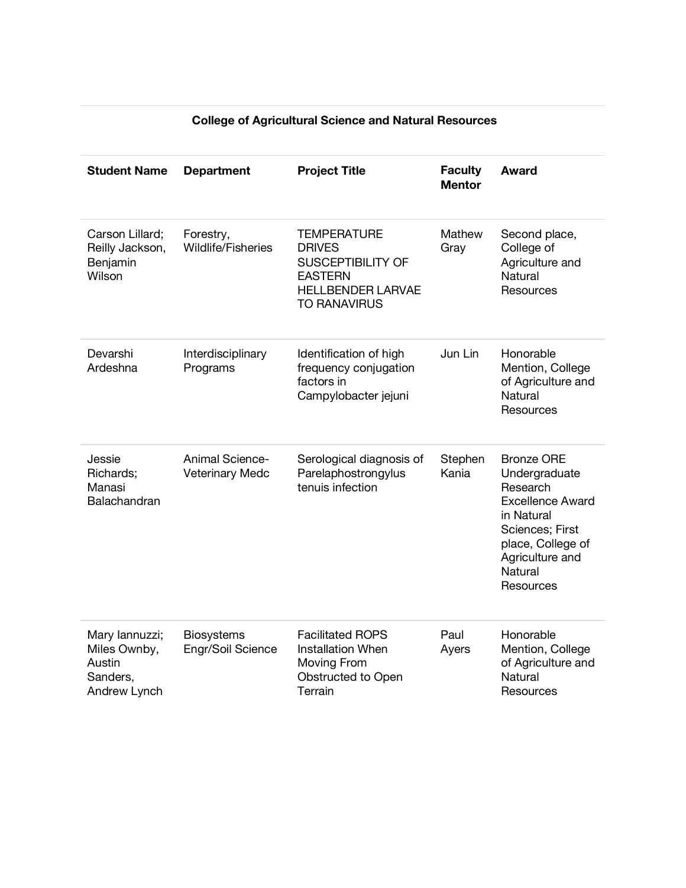| <b>Student Name</b>                                                  | <b>Department</b>                                | <b>Project Title</b>                                                                                                                 | <b>Faculty</b><br><b>Mentor</b> | <b>Award</b>                                                                                                                                                               |
|----------------------------------------------------------------------|--------------------------------------------------|--------------------------------------------------------------------------------------------------------------------------------------|---------------------------------|----------------------------------------------------------------------------------------------------------------------------------------------------------------------------|
| Carson Lillard:<br>Reilly Jackson,<br>Benjamin<br>Wilson             | Forestry,<br>Wildlife/Fisheries                  | <b>TEMPERATURE</b><br><b>DRIVES</b><br><b>SUSCEPTIBILITY OF</b><br><b>EASTERN</b><br><b>HELLBENDER LARVAE</b><br><b>TO RANAVIRUS</b> | Mathew<br>Gray                  | Second place,<br>College of<br>Agriculture and<br><b>Natural</b><br>Resources                                                                                              |
| Devarshi<br>Ardeshna                                                 | Interdisciplinary<br>Programs                    | Identification of high<br>frequency conjugation<br>factors in<br>Campylobacter jejuni                                                | Jun Lin                         | Honorable<br>Mention, College<br>of Agriculture and<br><b>Natural</b><br>Resources                                                                                         |
| Jessie<br>Richards;<br>Manasi<br>Balachandran                        | <b>Animal Science-</b><br><b>Veterinary Medc</b> | Serological diagnosis of<br>Parelaphostrongylus<br>tenuis infection                                                                  | Stephen<br>Kania                | <b>Bronze ORE</b><br>Undergraduate<br>Research<br><b>Excellence Award</b><br>in Natural<br>Sciences; First<br>place, College of<br>Agriculture and<br>Natural<br>Resources |
| Mary lannuzzi;<br>Miles Ownby,<br>Austin<br>Sanders,<br>Andrew Lynch | <b>Biosystems</b><br>Engr/Soil Science           | <b>Facilitated ROPS</b><br><b>Installation When</b><br>Moving From<br>Obstructed to Open<br>Terrain                                  | Paul<br>Ayers                   | Honorable<br>Mention, College<br>of Agriculture and<br>Natural<br>Resources                                                                                                |

# **College of Agricultural Science and Natural Resources**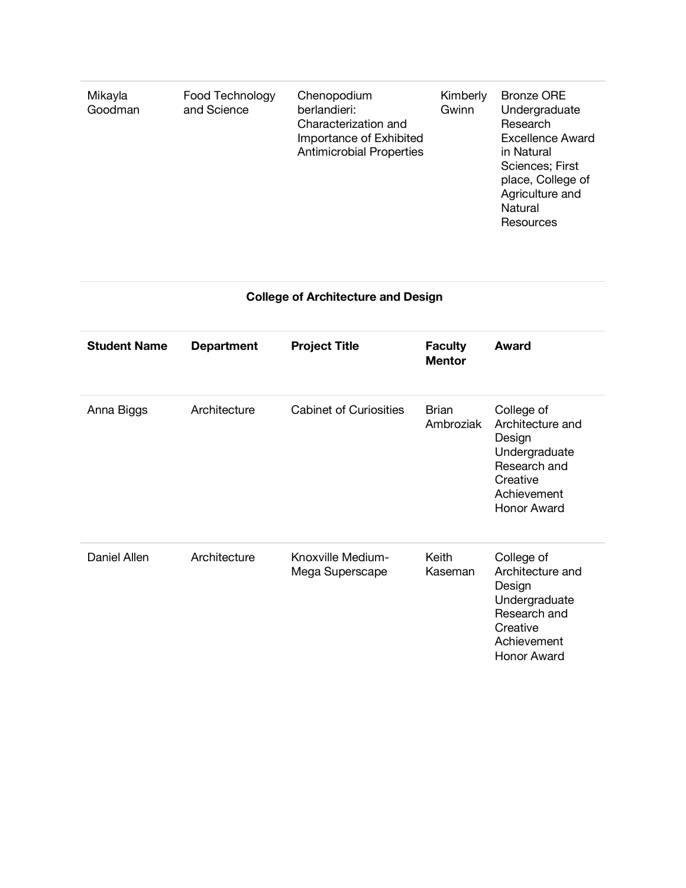| Natural<br>Resources | Mikayla<br>Goodman | Food Technology<br>and Science | Chenopodium<br>berlandieri:<br>Characterization and<br>Importance of Exhibited<br><b>Antimicrobial Properties</b> | Kimberly<br>Gwinn | <b>Bronze ORE</b><br>Undergraduate<br>Research<br><b>Excellence Award</b><br>in Natural<br>Sciences; First<br>place, College of<br>Agriculture and |
|----------------------|--------------------|--------------------------------|-------------------------------------------------------------------------------------------------------------------|-------------------|----------------------------------------------------------------------------------------------------------------------------------------------------|
|----------------------|--------------------|--------------------------------|-------------------------------------------------------------------------------------------------------------------|-------------------|----------------------------------------------------------------------------------------------------------------------------------------------------|

# **College of Architecture and Design**

| <b>Student Name</b> | <b>Department</b> | <b>Project Title</b>                 | <b>Faculty</b><br><b>Mentor</b> | <b>Award</b>                                                                                                        |
|---------------------|-------------------|--------------------------------------|---------------------------------|---------------------------------------------------------------------------------------------------------------------|
| Anna Biggs          | Architecture      | <b>Cabinet of Curiosities</b>        | <b>Brian</b><br>Ambroziak       | College of<br>Architecture and<br>Design<br>Undergraduate<br>Research and<br>Creative<br>Achievement<br>Honor Award |
| Daniel Allen        | Architecture      | Knoxville Medium-<br>Mega Superscape | Keith<br>Kaseman                | College of<br>Architecture and<br>Design<br>Undergraduate<br>Research and<br>Creative<br>Achievement<br>Honor Award |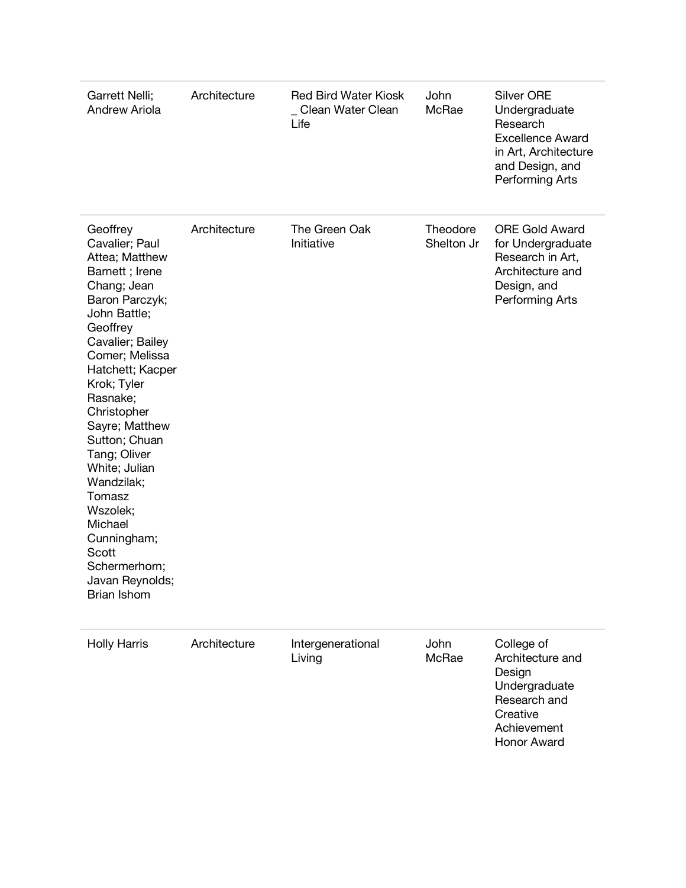| Garrett Nelli;<br>Andrew Ariola                                                                                                                                                                                                                                                                                                                                                                                               | Architecture | <b>Red Bird Water Kiosk</b><br>Clean Water Clean<br>Life | John<br>McRae          | <b>Silver ORE</b><br>Undergraduate<br>Research<br><b>Excellence Award</b><br>in Art, Architecture<br>and Design, and<br>Performing Arts |
|-------------------------------------------------------------------------------------------------------------------------------------------------------------------------------------------------------------------------------------------------------------------------------------------------------------------------------------------------------------------------------------------------------------------------------|--------------|----------------------------------------------------------|------------------------|-----------------------------------------------------------------------------------------------------------------------------------------|
| Geoffrey<br>Cavalier; Paul<br>Attea; Matthew<br>Barnett; Irene<br>Chang; Jean<br>Baron Parczyk;<br>John Battle;<br>Geoffrey<br>Cavalier; Bailey<br>Comer; Melissa<br>Hatchett; Kacper<br>Krok; Tyler<br>Rasnake;<br>Christopher<br>Sayre; Matthew<br>Sutton; Chuan<br>Tang; Oliver<br>White; Julian<br>Wandzilak;<br>Tomasz<br>Wszolek;<br>Michael<br>Cunningham;<br>Scott<br>Schermerhorn;<br>Javan Reynolds;<br>Brian Ishom | Architecture | The Green Oak<br>Initiative                              | Theodore<br>Shelton Jr | <b>ORE Gold Award</b><br>for Undergraduate<br>Research in Art,<br>Architecture and<br>Design, and<br>Performing Arts                    |
| <b>Holly Harris</b>                                                                                                                                                                                                                                                                                                                                                                                                           | Architecture | Intergenerational<br>Living                              | John<br>McRae          | College of<br>Architecture and<br>Design<br>Undergraduate<br>Research and<br>Creative<br>Achievement                                    |

Honor Award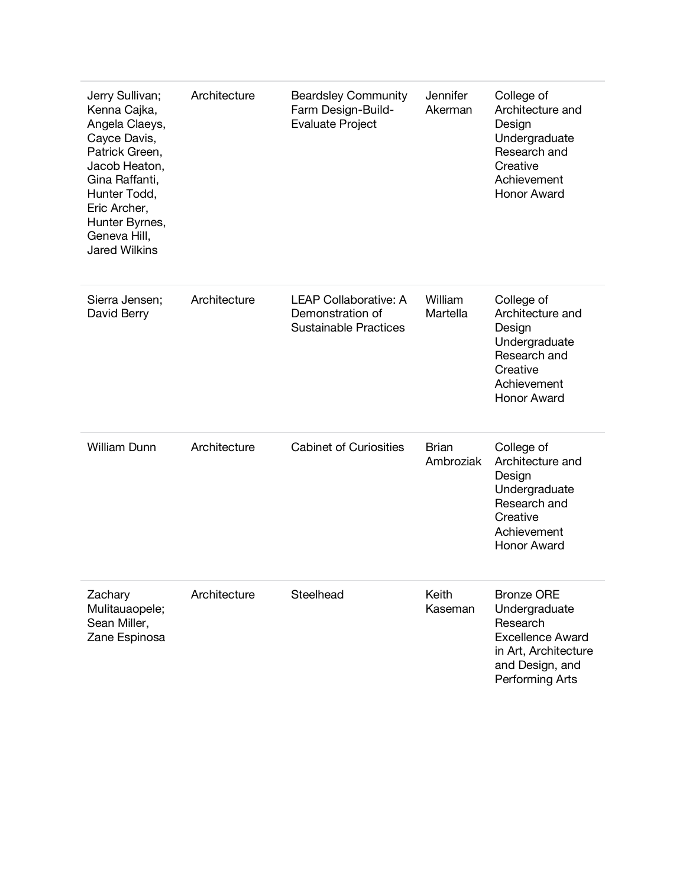| Jerry Sullivan;<br>Kenna Cajka,<br>Angela Claeys,<br>Cayce Davis,<br>Patrick Green,<br>Jacob Heaton,<br>Gina Raffanti,<br>Hunter Todd,<br>Eric Archer,<br>Hunter Byrnes,<br>Geneva Hill,<br><b>Jared Wilkins</b> | Architecture | <b>Beardsley Community</b><br>Farm Design-Build-<br><b>Evaluate Project</b>      | Jennifer<br>Akerman       | College of<br>Architecture and<br>Design<br>Undergraduate<br>Research and<br>Creative<br>Achievement<br><b>Honor Award</b>              |
|------------------------------------------------------------------------------------------------------------------------------------------------------------------------------------------------------------------|--------------|----------------------------------------------------------------------------------|---------------------------|-----------------------------------------------------------------------------------------------------------------------------------------|
| Sierra Jensen;<br>David Berry                                                                                                                                                                                    | Architecture | <b>LEAP Collaborative: A</b><br>Demonstration of<br><b>Sustainable Practices</b> | William<br>Martella       | College of<br>Architecture and<br>Design<br>Undergraduate<br>Research and<br>Creative<br>Achievement<br>Honor Award                     |
| <b>William Dunn</b>                                                                                                                                                                                              | Architecture | <b>Cabinet of Curiosities</b>                                                    | <b>Brian</b><br>Ambroziak | College of<br>Architecture and<br>Design<br>Undergraduate<br>Research and<br>Creative<br>Achievement<br>Honor Award                     |
| Zachary<br>Mulitauaopele;<br>Sean Miller,<br>Zane Espinosa                                                                                                                                                       | Architecture | Steelhead                                                                        | Keith<br>Kaseman          | <b>Bronze ORE</b><br>Undergraduate<br>Research<br><b>Excellence Award</b><br>in Art, Architecture<br>and Design, and<br>Performing Arts |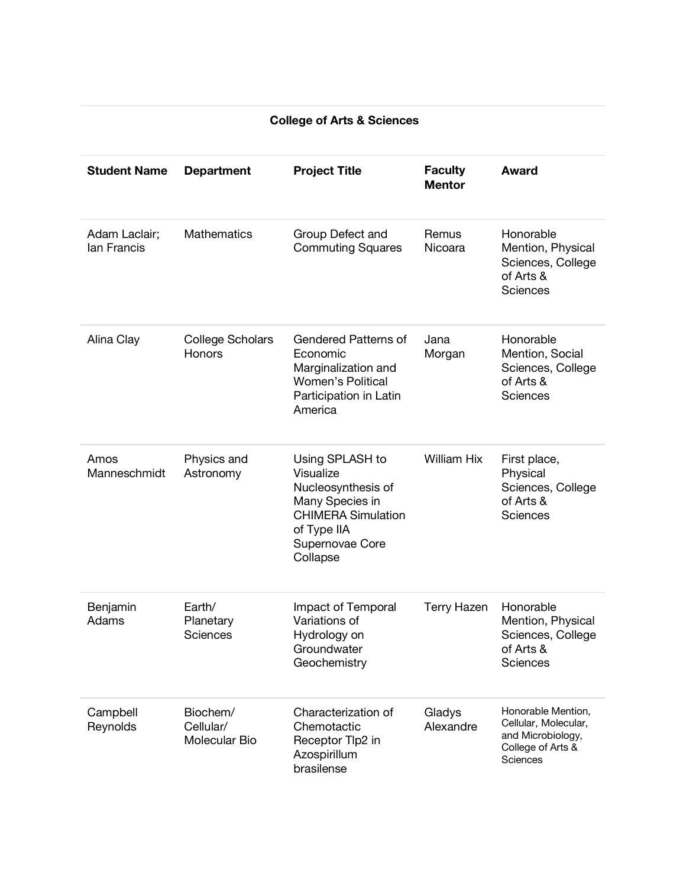| <b>Student Name</b>          | <b>Department</b>                      | <b>Project Title</b>                                                                                                                             | <b>Faculty</b><br><b>Mentor</b> | <b>Award</b>                                                                                     |
|------------------------------|----------------------------------------|--------------------------------------------------------------------------------------------------------------------------------------------------|---------------------------------|--------------------------------------------------------------------------------------------------|
| Adam Laclair;<br>lan Francis | <b>Mathematics</b>                     | Group Defect and<br><b>Commuting Squares</b>                                                                                                     | Remus<br>Nicoara                | Honorable<br>Mention, Physical<br>Sciences, College<br>of Arts &<br>Sciences                     |
| Alina Clay                   | <b>College Scholars</b><br>Honors      | <b>Gendered Patterns of</b><br>Economic<br>Marginalization and<br><b>Women's Political</b><br>Participation in Latin<br>America                  | Jana<br>Morgan                  | Honorable<br>Mention, Social<br>Sciences, College<br>of Arts &<br><b>Sciences</b>                |
| Amos<br>Manneschmidt         | Physics and<br>Astronomy               | Using SPLASH to<br>Visualize<br>Nucleosynthesis of<br>Many Species in<br><b>CHIMERA Simulation</b><br>of Type IIA<br>Supernovae Core<br>Collapse | <b>William Hix</b>              | First place,<br>Physical<br>Sciences, College<br>of Arts &<br>Sciences                           |
| Benjamin<br>Adams            | Earth/<br>Planetary<br>Sciences        | Impact of Temporal<br>Variations of<br>Hydrology on<br>Groundwater<br>Geochemistry                                                               | <b>Terry Hazen</b>              | Honorable<br>Mention, Physical<br>Sciences, College<br>of Arts &<br><b>Sciences</b>              |
| Campbell<br>Reynolds         | Biochem/<br>Cellular/<br>Molecular Bio | Characterization of<br>Chemotactic<br>Receptor Tlp2 in<br>Azospirillum<br>brasilense                                                             | Gladys<br>Alexandre             | Honorable Mention,<br>Cellular, Molecular,<br>and Microbiology,<br>College of Arts &<br>Sciences |

#### **College of Arts & Sciences**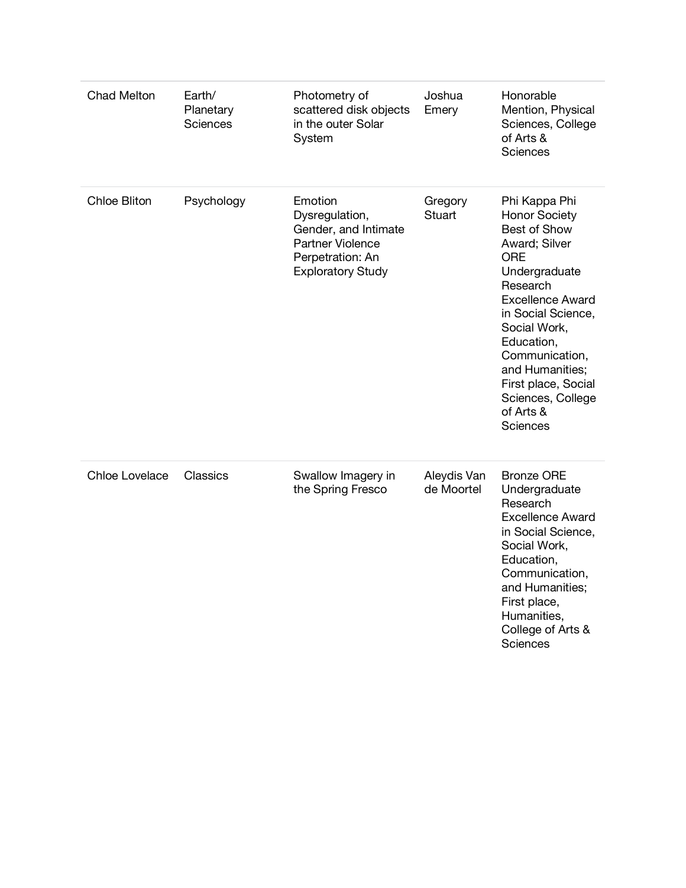| <b>Chad Melton</b>  | Earth/<br>Planetary<br>Sciences | Photometry of<br>scattered disk objects<br>in the outer Solar<br>System                                               | Joshua<br>Emery           | Honorable<br>Mention, Physical<br>Sciences, College<br>of Arts &<br>Sciences                                                                                                                                                                                                                               |
|---------------------|---------------------------------|-----------------------------------------------------------------------------------------------------------------------|---------------------------|------------------------------------------------------------------------------------------------------------------------------------------------------------------------------------------------------------------------------------------------------------------------------------------------------------|
| <b>Chloe Bliton</b> | Psychology                      | Emotion<br>Dysregulation,<br>Gender, and Intimate<br>Partner Violence<br>Perpetration: An<br><b>Exploratory Study</b> | Gregory<br>Stuart         | Phi Kappa Phi<br><b>Honor Society</b><br>Best of Show<br>Award; Silver<br><b>ORE</b><br>Undergraduate<br>Research<br><b>Excellence Award</b><br>in Social Science,<br>Social Work,<br>Education,<br>Communication,<br>and Humanities;<br>First place, Social<br>Sciences, College<br>of Arts &<br>Sciences |
| Chloe Lovelace      | Classics                        | Swallow Imagery in<br>the Spring Fresco                                                                               | Aleydis Van<br>de Moortel | <b>Bronze ORE</b><br>Undergraduate<br>Research<br><b>Excellence Award</b><br>in Social Science,<br>Social Work,<br>Education,<br>Communication,<br>and Humanities;<br>First place,<br>Humanities,<br>College of Arts &<br>Sciences                                                                         |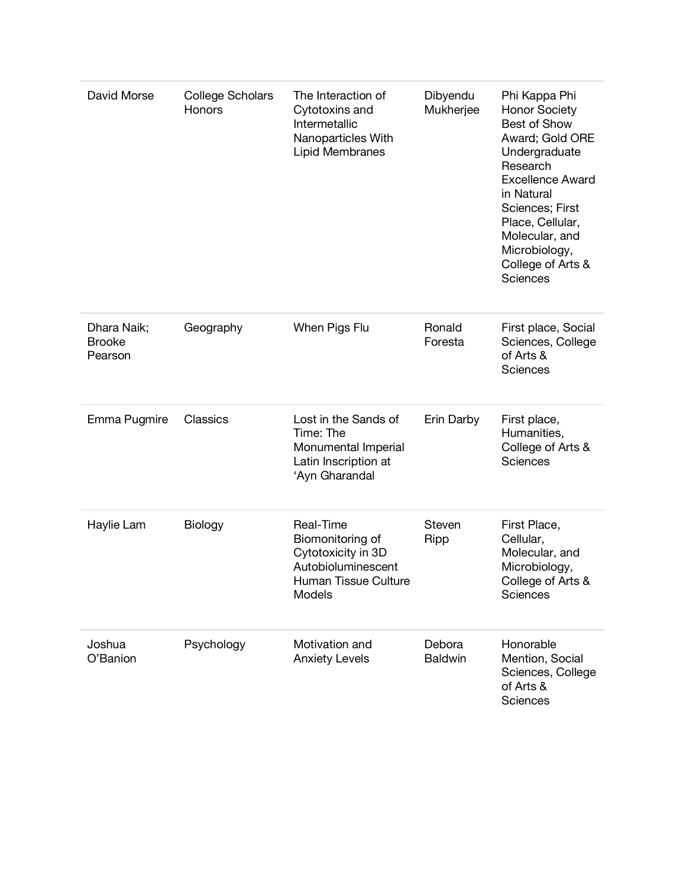| David Morse                             | <b>College Scholars</b><br>Honors | The Interaction of<br>Cytotoxins and<br>Intermetallic<br>Nanoparticles With<br><b>Lipid Membranes</b>       | Dibyendu<br>Mukherjee    | Phi Kappa Phi<br><b>Honor Society</b><br>Best of Show<br>Award; Gold ORE<br>Undergraduate<br>Research<br><b>Excellence Award</b><br>in Natural<br>Sciences; First<br>Place, Cellular,<br>Molecular, and<br>Microbiology,<br>College of Arts &<br><b>Sciences</b> |
|-----------------------------------------|-----------------------------------|-------------------------------------------------------------------------------------------------------------|--------------------------|------------------------------------------------------------------------------------------------------------------------------------------------------------------------------------------------------------------------------------------------------------------|
| Dhara Naik;<br><b>Brooke</b><br>Pearson | Geography                         | When Pigs Flu                                                                                               | Ronald<br>Foresta        | First place, Social<br>Sciences, College<br>of Arts &<br><b>Sciences</b>                                                                                                                                                                                         |
| Emma Pugmire                            | Classics                          | Lost in the Sands of<br>Time: The<br>Monumental Imperial<br>Latin Inscription at<br>'Ayn Gharandal          | Erin Darby               | First place,<br>Humanities,<br>College of Arts &<br><b>Sciences</b>                                                                                                                                                                                              |
| Haylie Lam                              | Biology                           | Real-Time<br>Biomonitoring of<br>Cytotoxicity in 3D<br>Autobioluminescent<br>Human Tissue Culture<br>Models | Steven<br>Ripp           | First Place,<br>Cellular,<br>Molecular, and<br>Microbiology,<br>College of Arts &<br>Sciences                                                                                                                                                                    |
| Joshua<br>O'Banion                      | Psychology                        | Motivation and<br><b>Anxiety Levels</b>                                                                     | Debora<br><b>Baldwin</b> | Honorable<br>Mention, Social<br>Sciences, College<br>of Arts &<br>Sciences                                                                                                                                                                                       |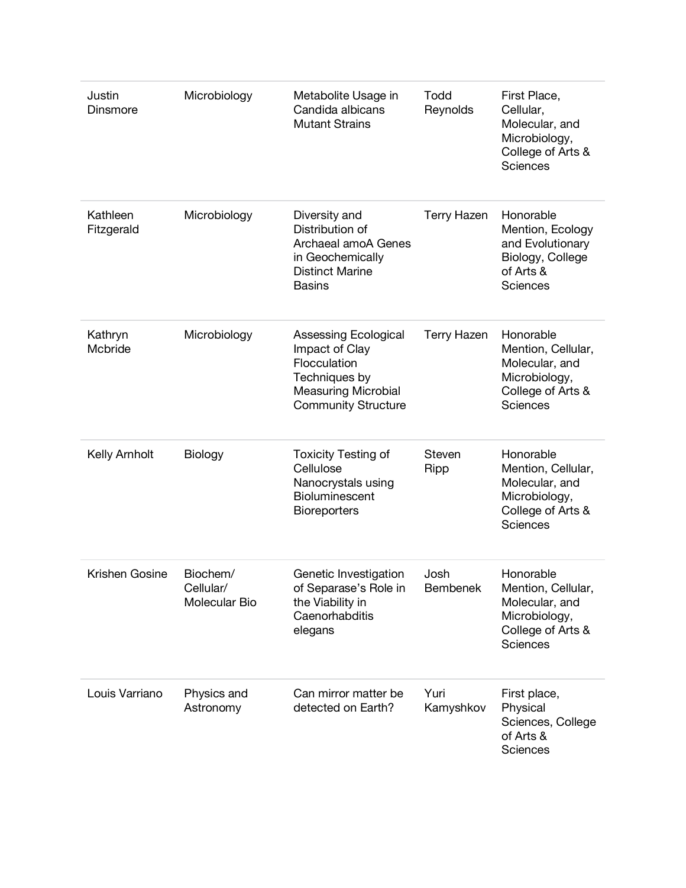| Justin<br>Dinsmore     | Microbiology                           | Metabolite Usage in<br>Candida albicans<br><b>Mutant Strains</b>                                                                    | Todd<br>Reynolds        | First Place,<br>Cellular,<br>Molecular, and<br>Microbiology,<br>College of Arts &<br>Sciences              |
|------------------------|----------------------------------------|-------------------------------------------------------------------------------------------------------------------------------------|-------------------------|------------------------------------------------------------------------------------------------------------|
| Kathleen<br>Fitzgerald | Microbiology                           | Diversity and<br>Distribution of<br>Archaeal amoA Genes<br>in Geochemically<br><b>Distinct Marine</b><br><b>Basins</b>              | <b>Terry Hazen</b>      | Honorable<br>Mention, Ecology<br>and Evolutionary<br>Biology, College<br>of Arts &<br>Sciences             |
| Kathryn<br>Mcbride     | Microbiology                           | Assessing Ecological<br>Impact of Clay<br>Flocculation<br>Techniques by<br><b>Measuring Microbial</b><br><b>Community Structure</b> | <b>Terry Hazen</b>      | Honorable<br>Mention, Cellular,<br>Molecular, and<br>Microbiology,<br>College of Arts &<br><b>Sciences</b> |
| Kelly Arnholt          | Biology                                | <b>Toxicity Testing of</b><br>Cellulose<br>Nanocrystals using<br>Bioluminescent<br><b>Bioreporters</b>                              | Steven<br>Ripp          | Honorable<br>Mention, Cellular,<br>Molecular, and<br>Microbiology,<br>College of Arts &<br>Sciences        |
| Krishen Gosine         | Biochem/<br>Cellular/<br>Molecular Bio | Genetic Investigation<br>of Separase's Role in<br>the Viability in<br>Caenorhabditis<br>elegans                                     | Josh<br><b>Bembenek</b> | Honorable<br>Mention, Cellular,<br>Molecular, and<br>Microbiology,<br>College of Arts &<br><b>Sciences</b> |
| Louis Varriano         | Physics and<br>Astronomy               | Can mirror matter be<br>detected on Earth?                                                                                          | Yuri<br>Kamyshkov       | First place,<br>Physical<br>Sciences, College<br>of Arts &<br>Sciences                                     |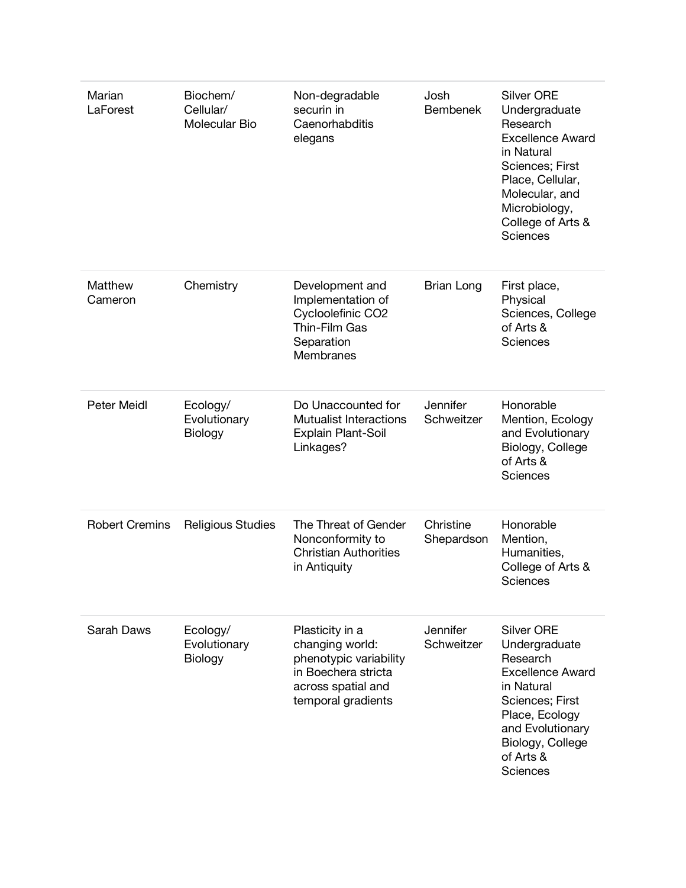| Marian<br>LaForest    | Biochem/<br>Cellular/<br>Molecular Bio | Non-degradable<br>securin in<br>Caenorhabditis<br>elegans                                                                       | Josh<br><b>Bembenek</b> | <b>Silver ORE</b><br>Undergraduate<br>Research<br><b>Excellence Award</b><br>in Natural<br>Sciences; First<br>Place, Cellular,<br>Molecular, and<br>Microbiology,<br>College of Arts &<br><b>Sciences</b> |
|-----------------------|----------------------------------------|---------------------------------------------------------------------------------------------------------------------------------|-------------------------|-----------------------------------------------------------------------------------------------------------------------------------------------------------------------------------------------------------|
| Matthew<br>Cameron    | Chemistry                              | Development and<br>Implementation of<br>Cycloolefinic CO2<br>Thin-Film Gas<br>Separation<br>Membranes                           | <b>Brian Long</b>       | First place,<br>Physical<br>Sciences, College<br>of Arts &<br><b>Sciences</b>                                                                                                                             |
| <b>Peter Meidl</b>    | Ecology/<br>Evolutionary<br>Biology    | Do Unaccounted for<br>Mutualist Interactions<br>Explain Plant-Soil<br>Linkages?                                                 | Jennifer<br>Schweitzer  | Honorable<br>Mention, Ecology<br>and Evolutionary<br>Biology, College<br>of Arts &<br><b>Sciences</b>                                                                                                     |
| <b>Robert Cremins</b> | Religious Studies                      | The Threat of Gender<br>Nonconformity to<br><b>Christian Authorities</b><br>in Antiquity                                        | Christine<br>Shepardson | Honorable<br>Mention,<br>Humanities,<br>College of Arts &<br>Sciences                                                                                                                                     |
| Sarah Daws            | Ecology/<br>Evolutionary<br>Biology    | Plasticity in a<br>changing world:<br>phenotypic variability<br>in Boechera stricta<br>across spatial and<br>temporal gradients | Jennifer<br>Schweitzer  | <b>Silver ORE</b><br>Undergraduate<br>Research<br><b>Excellence Award</b><br>in Natural<br>Sciences; First<br>Place, Ecology<br>and Evolutionary<br>Biology, College<br>of Arts &<br><b>Sciences</b>      |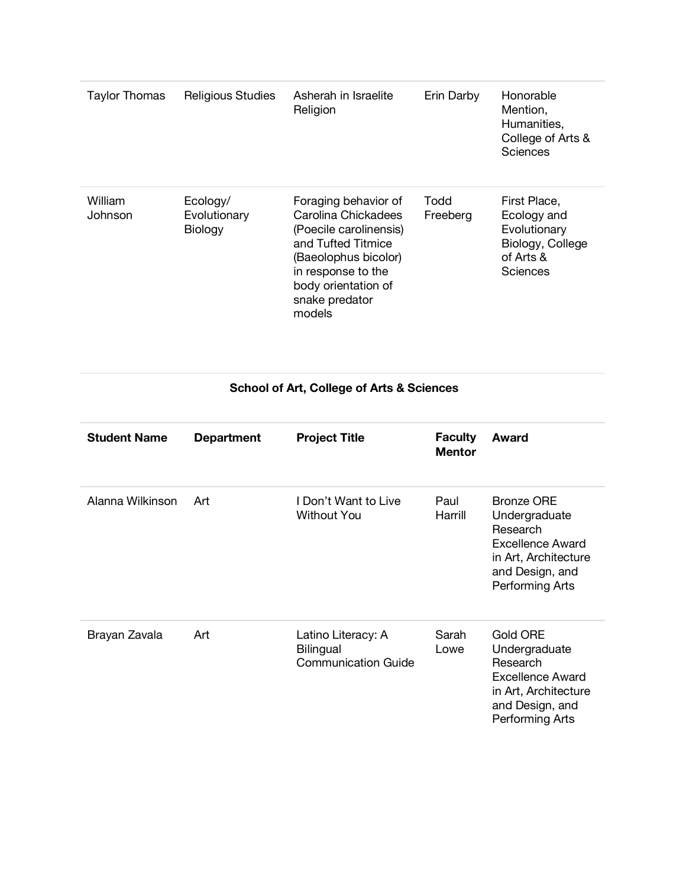| Taylor Thomas      | <b>Religious Studies</b>            | Asherah in Israelite<br>Religion                                                                                                                                                             | Erin Darby       | Honorable<br>Mention,<br>Humanities,<br>College of Arts &<br>Sciences                    |
|--------------------|-------------------------------------|----------------------------------------------------------------------------------------------------------------------------------------------------------------------------------------------|------------------|------------------------------------------------------------------------------------------|
| William<br>Johnson | Ecology/<br>Evolutionary<br>Biology | Foraging behavior of<br>Carolina Chickadees<br>(Poecile carolinensis)<br>and Tufted Titmice<br>(Baeolophus bicolor)<br>in response to the<br>body orientation of<br>snake predator<br>models | Todd<br>Freeberg | First Place,<br>Ecology and<br>Evolutionary<br>Biology, College<br>of Arts &<br>Sciences |

### **School of Art, College of Arts & Sciences**

| <b>Student Name</b> | <b>Department</b> | <b>Project Title</b>                                                 | <b>Faculty</b><br><b>Mentor</b> | Award                                                                                                                            |
|---------------------|-------------------|----------------------------------------------------------------------|---------------------------------|----------------------------------------------------------------------------------------------------------------------------------|
| Alanna Wilkinson    | Art               | I Don't Want to Live<br><b>Without You</b>                           | Paul<br>Harrill                 | <b>Bronze ORE</b><br>Undergraduate<br>Research<br>Excellence Award<br>in Art, Architecture<br>and Design, and<br>Performing Arts |
| Brayan Zavala       | Art               | Latino Literacy: A<br><b>Bilingual</b><br><b>Communication Guide</b> | Sarah<br>Lowe                   | Gold ORE<br>Undergraduate<br>Research<br>Excellence Award<br>in Art, Architecture<br>and Design, and<br>Performing Arts          |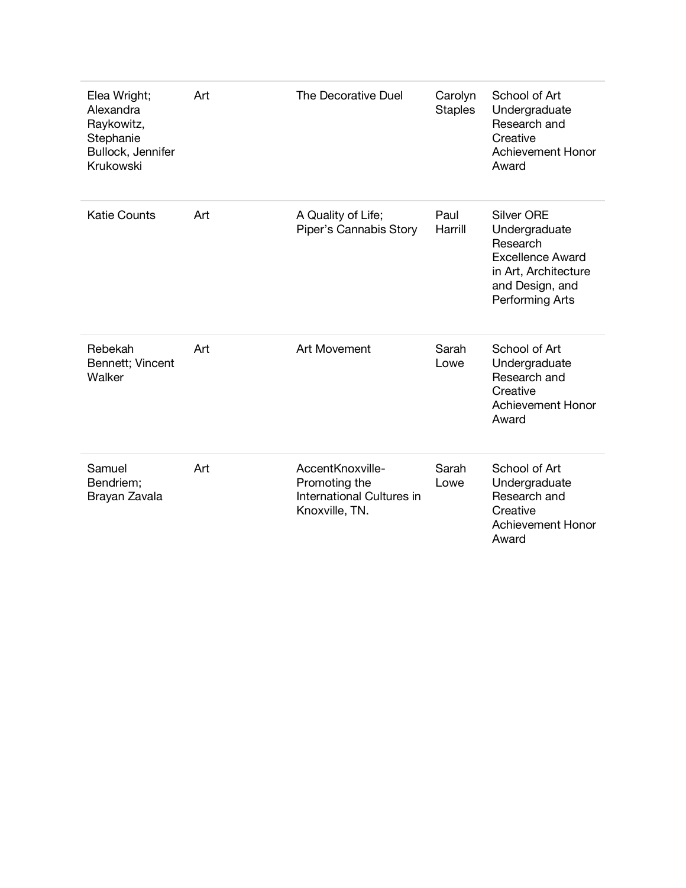| Elea Wright;<br>Alexandra<br>Raykowitz,<br>Stephanie<br>Bullock, Jennifer<br>Krukowski | Art | The Decorative Duel                                                              | Carolyn<br><b>Staples</b> | School of Art<br>Undergraduate<br>Research and<br>Creative<br>Achievement Honor<br>Award                                                |
|----------------------------------------------------------------------------------------|-----|----------------------------------------------------------------------------------|---------------------------|-----------------------------------------------------------------------------------------------------------------------------------------|
| <b>Katie Counts</b>                                                                    | Art | A Quality of Life;<br>Piper's Cannabis Story                                     | Paul<br>Harrill           | <b>Silver ORE</b><br>Undergraduate<br>Research<br><b>Excellence Award</b><br>in Art, Architecture<br>and Design, and<br>Performing Arts |
| Rebekah<br>Bennett; Vincent<br>Walker                                                  | Art | <b>Art Movement</b>                                                              | Sarah<br>Lowe             | School of Art<br>Undergraduate<br>Research and<br>Creative<br><b>Achievement Honor</b><br>Award                                         |
| Samuel<br>Bendriem;<br>Brayan Zavala                                                   | Art | AccentKnoxville-<br>Promoting the<br>International Cultures in<br>Knoxville, TN. | Sarah<br>Lowe             | School of Art<br>Undergraduate<br>Research and<br>Creative<br><b>Achievement Honor</b><br>Award                                         |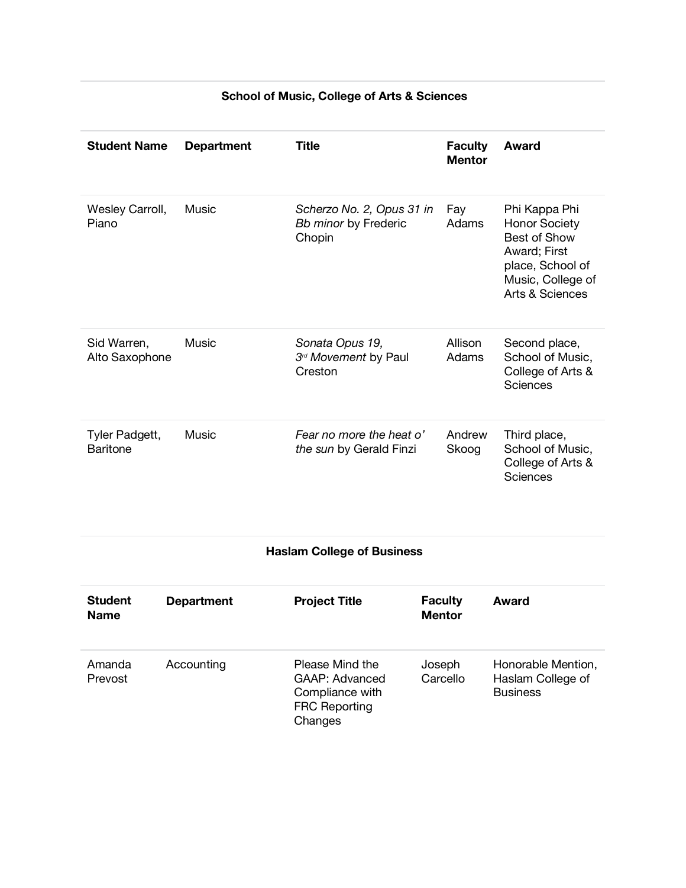| <b>Student Name</b>               | <b>Department</b> | <b>Title</b>                                                                            | <b>Faculty</b><br><b>Mentor</b> | Award                                                                                                                                    |
|-----------------------------------|-------------------|-----------------------------------------------------------------------------------------|---------------------------------|------------------------------------------------------------------------------------------------------------------------------------------|
| Wesley Carroll,<br>Piano          | <b>Music</b>      | Scherzo No. 2, Opus 31 in<br>Bb minor by Frederic<br>Chopin                             | Fay<br>Adams                    | Phi Kappa Phi<br><b>Honor Society</b><br><b>Best of Show</b><br>Award; First<br>place, School of<br>Music, College of<br>Arts & Sciences |
| Sid Warren,<br>Alto Saxophone     | Music             | Sonata Opus 19,<br>3rd Movement by Paul<br>Creston                                      | Allison<br>Adams                | Second place,<br>School of Music,<br>College of Arts &<br>Sciences                                                                       |
| Tyler Padgett,<br><b>Baritone</b> | Music             | Fear no more the heat o'<br>the sun by Gerald Finzi                                     | Andrew<br>Skoog                 | Third place,<br>School of Music,<br>College of Arts &<br>Sciences                                                                        |
|                                   |                   | <b>Haslam College of Business</b>                                                       |                                 |                                                                                                                                          |
| <b>Student</b><br><b>Name</b>     | <b>Department</b> | <b>Project Title</b>                                                                    | <b>Faculty</b><br><b>Mentor</b> | Award                                                                                                                                    |
| Amanda<br>Prevost                 | Accounting        | Please Mind the<br>GAAP: Advanced<br>Compliance with<br><b>FRC Reporting</b><br>Changes | Joseph<br>Carcello              | Honorable Mention,<br>Haslam College of<br><b>Business</b>                                                                               |

#### **School of Music, College of Arts & Sciences**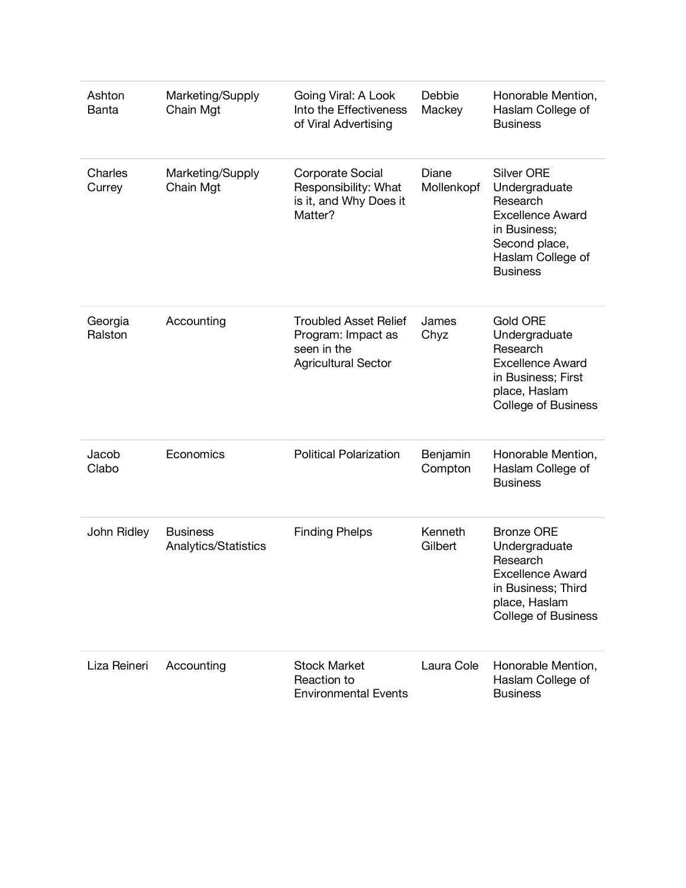| Ashton<br>Banta    | Marketing/Supply<br>Chain Mgt           | Going Viral: A Look<br>Into the Effectiveness<br>of Viral Advertising                           | Debbie<br>Mackey    | Honorable Mention,<br>Haslam College of<br><b>Business</b>                                                                                         |
|--------------------|-----------------------------------------|-------------------------------------------------------------------------------------------------|---------------------|----------------------------------------------------------------------------------------------------------------------------------------------------|
| Charles<br>Currey  | Marketing/Supply<br>Chain Mgt           | Corporate Social<br>Responsibility: What<br>is it, and Why Does it<br>Matter?                   | Diane<br>Mollenkopf | <b>Silver ORE</b><br>Undergraduate<br>Research<br><b>Excellence Award</b><br>in Business:<br>Second place,<br>Haslam College of<br><b>Business</b> |
| Georgia<br>Ralston | Accounting                              | <b>Troubled Asset Relief</b><br>Program: Impact as<br>seen in the<br><b>Agricultural Sector</b> | James<br>Chyz       | <b>Gold ORE</b><br>Undergraduate<br>Research<br><b>Excellence Award</b><br>in Business; First<br>place, Haslam<br><b>College of Business</b>       |
| Jacob<br>Clabo     | Economics                               | <b>Political Polarization</b>                                                                   | Benjamin<br>Compton | Honorable Mention,<br>Haslam College of<br><b>Business</b>                                                                                         |
| John Ridley        | <b>Business</b><br>Analytics/Statistics | <b>Finding Phelps</b>                                                                           | Kenneth<br>Gilbert  | <b>Bronze ORE</b><br>Undergraduate<br>Research<br><b>Excellence Award</b><br>in Business; Third<br>place, Haslam<br><b>College of Business</b>     |
| Liza Reineri       | Accounting                              | <b>Stock Market</b><br>Reaction to<br><b>Environmental Events</b>                               | Laura Cole          | Honorable Mention,<br>Haslam College of<br><b>Business</b>                                                                                         |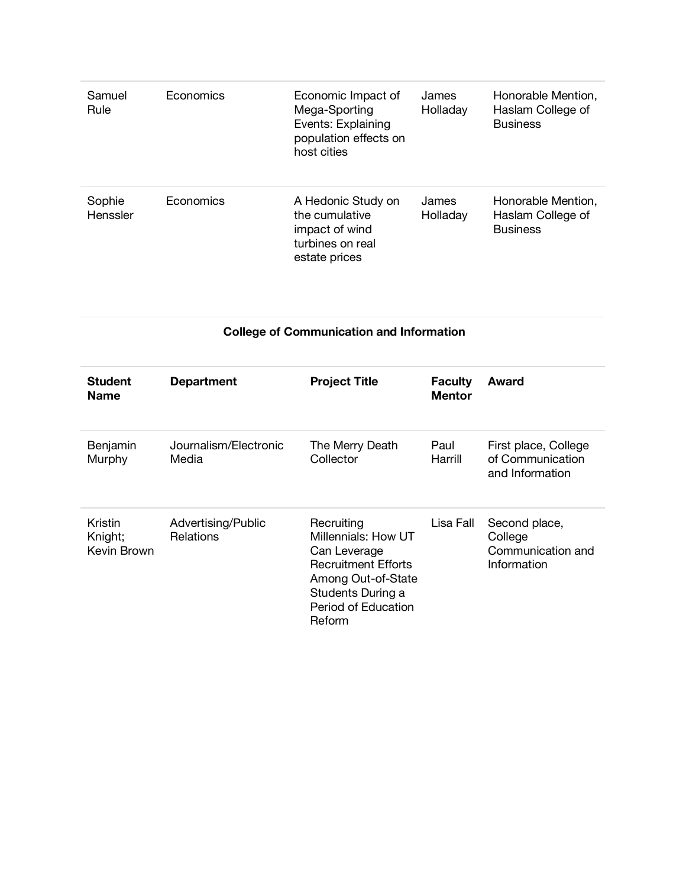| Samuel<br>Rule     | Economics | Economic Impact of<br>Mega-Sporting<br>Events: Explaining<br>population effects on<br>host cities | James<br>Holladay | Honorable Mention,<br>Haslam College of<br><b>Business</b> |
|--------------------|-----------|---------------------------------------------------------------------------------------------------|-------------------|------------------------------------------------------------|
| Sophie<br>Henssler | Economics | A Hedonic Study on<br>the cumulative<br>impact of wind<br>turbines on real<br>estate prices       | James<br>Holladay | Honorable Mention,<br>Haslam College of<br><b>Business</b> |

#### **College of Communication and Information**

| <b>Student</b><br><b>Name</b>     | <b>Department</b>                      | <b>Project Title</b>                                                                                                                                               | <b>Faculty</b><br><b>Mentor</b> | Award                                                        |
|-----------------------------------|----------------------------------------|--------------------------------------------------------------------------------------------------------------------------------------------------------------------|---------------------------------|--------------------------------------------------------------|
| Benjamin<br>Murphy                | Journalism/Electronic<br>Media         | The Merry Death<br>Collector                                                                                                                                       | Paul<br>Harrill                 | First place, College<br>of Communication<br>and Information  |
| Kristin<br>Knight;<br>Kevin Brown | Advertising/Public<br><b>Relations</b> | Recruiting<br>Millennials: How UT<br>Can Leverage<br><b>Recruitment Efforts</b><br>Among Out-of-State<br>Students During a<br>Period of Education<br><b>Reform</b> | Lisa Fall                       | Second place,<br>College<br>Communication and<br>Information |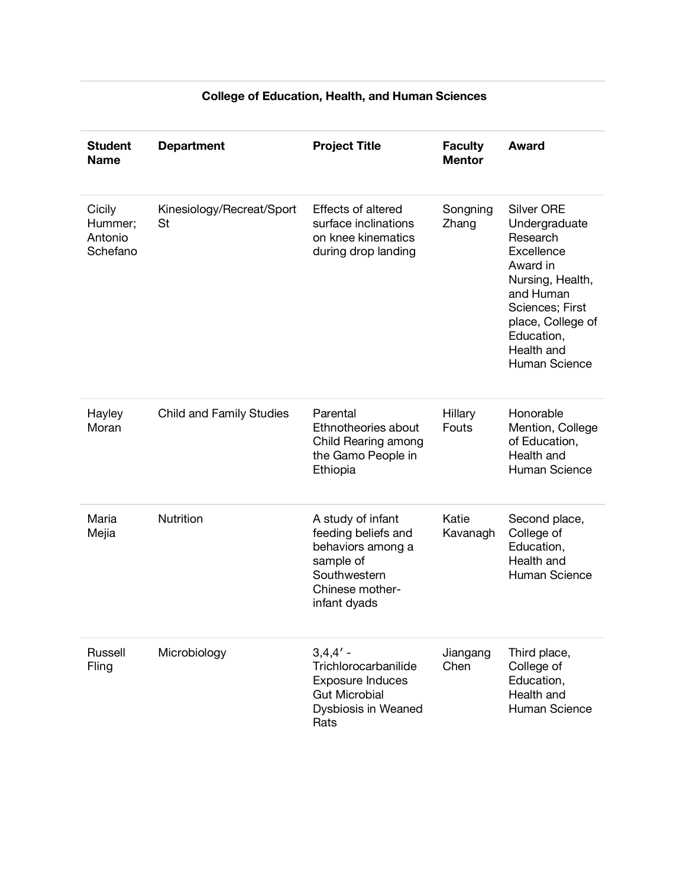| <b>Student</b><br><b>Name</b>            | <b>Department</b>               | <b>Project Title</b>                                                                                                          | <b>Faculty</b><br><b>Mentor</b> | <b>Award</b>                                                                                                                                                                                   |
|------------------------------------------|---------------------------------|-------------------------------------------------------------------------------------------------------------------------------|---------------------------------|------------------------------------------------------------------------------------------------------------------------------------------------------------------------------------------------|
| Cicily<br>Hummer;<br>Antonio<br>Schefano | Kinesiology/Recreat/Sport<br>St | Effects of altered<br>surface inclinations<br>on knee kinematics<br>during drop landing                                       | Songning<br>Zhang               | <b>Silver ORE</b><br>Undergraduate<br>Research<br>Excellence<br>Award in<br>Nursing, Health,<br>and Human<br>Sciences; First<br>place, College of<br>Education,<br>Health and<br>Human Science |
| Hayley<br>Moran                          | <b>Child and Family Studies</b> | Parental<br>Ethnotheories about<br>Child Rearing among<br>the Gamo People in<br>Ethiopia                                      | Hillary<br>Fouts                | Honorable<br>Mention, College<br>of Education,<br>Health and<br>Human Science                                                                                                                  |
| Maria<br>Mejia                           | Nutrition                       | A study of infant<br>feeding beliefs and<br>behaviors among a<br>sample of<br>Southwestern<br>Chinese mother-<br>infant dyads | Katie<br>Kavanagh               | Second place,<br>College of<br>Education,<br>Health and<br>Human Science                                                                                                                       |
| Russell<br>Fling                         | Microbiology                    | $3,4,4'$ -<br>Trichlorocarbanilide<br><b>Exposure Induces</b><br><b>Gut Microbial</b><br>Dysbiosis in Weaned<br>Rats          | Jiangang<br>Chen                | Third place,<br>College of<br>Education,<br>Health and<br>Human Science                                                                                                                        |

# **College of Education, Health, and Human Sciences**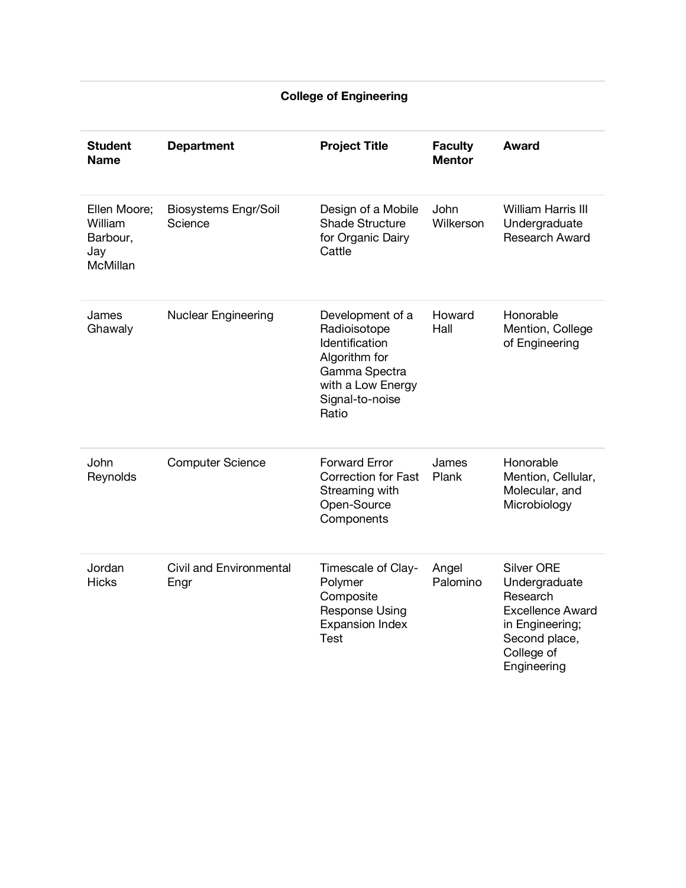#### **College of Engineering**

| <b>Student</b><br><b>Name</b>                          | <b>Department</b>               | <b>Project Title</b>                                                                                                                  | <b>Faculty</b><br><b>Mentor</b> | <b>Award</b>                                                                                                                               |
|--------------------------------------------------------|---------------------------------|---------------------------------------------------------------------------------------------------------------------------------------|---------------------------------|--------------------------------------------------------------------------------------------------------------------------------------------|
| Ellen Moore;<br>William<br>Barbour,<br>Jay<br>McMillan | Biosystems Engr/Soil<br>Science | Design of a Mobile<br><b>Shade Structure</b><br>for Organic Dairy<br>Cattle                                                           | <b>John</b><br>Wilkerson        | <b>William Harris III</b><br>Undergraduate<br>Research Award                                                                               |
| James<br>Ghawaly                                       | <b>Nuclear Engineering</b>      | Development of a<br>Radioisotope<br>Identification<br>Algorithm for<br>Gamma Spectra<br>with a Low Energy<br>Signal-to-noise<br>Ratio | Howard<br>Hall                  | Honorable<br>Mention, College<br>of Engineering                                                                                            |
| John<br>Reynolds                                       | <b>Computer Science</b>         | <b>Forward Error</b><br><b>Correction for Fast</b><br>Streaming with<br>Open-Source<br>Components                                     | James<br>Plank                  | Honorable<br>Mention, Cellular,<br>Molecular, and<br>Microbiology                                                                          |
| Jordan<br><b>Hicks</b>                                 | Civil and Environmental<br>Engr | Timescale of Clay-<br>Polymer<br>Composite<br>Response Using<br><b>Expansion Index</b><br><b>Test</b>                                 | Angel<br>Palomino               | <b>Silver ORE</b><br>Undergraduate<br>Research<br><b>Excellence Award</b><br>in Engineering;<br>Second place,<br>College of<br>Engineering |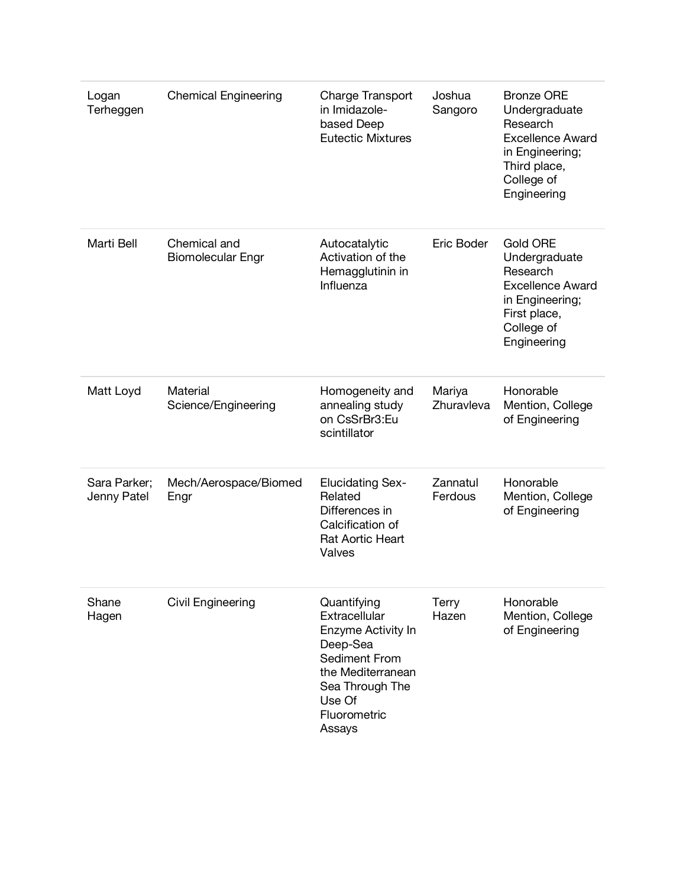| Logan<br>Terheggen          | <b>Chemical Engineering</b>              | Charge Transport<br>in Imidazole-<br>based Deep<br><b>Eutectic Mixtures</b>                                                                                 | Joshua<br>Sangoro     | <b>Bronze ORE</b><br>Undergraduate<br>Research<br><b>Excellence Award</b><br>in Engineering;<br>Third place,<br>College of<br>Engineering |
|-----------------------------|------------------------------------------|-------------------------------------------------------------------------------------------------------------------------------------------------------------|-----------------------|-------------------------------------------------------------------------------------------------------------------------------------------|
| Marti Bell                  | Chemical and<br><b>Biomolecular Engr</b> | Autocatalytic<br>Activation of the<br>Hemagglutinin in<br>Influenza                                                                                         | Eric Boder            | Gold ORE<br>Undergraduate<br>Research<br><b>Excellence Award</b><br>in Engineering;<br>First place,<br>College of<br>Engineering          |
| Matt Loyd                   | Material<br>Science/Engineering          | Homogeneity and<br>annealing study<br>on CsSrBr3:Eu<br>scintillator                                                                                         | Mariya<br>Zhuravleva  | Honorable<br>Mention, College<br>of Engineering                                                                                           |
| Sara Parker;<br>Jenny Patel | Mech/Aerospace/Biomed<br>Engr            | <b>Elucidating Sex-</b><br>Related<br>Differences in<br>Calcification of<br><b>Rat Aortic Heart</b><br>Valves                                               | Zannatul<br>Ferdous   | Honorable<br>Mention, College<br>of Engineering                                                                                           |
| Shane<br>Hagen              | Civil Engineering                        | Quantifying<br>Extracellular<br>Enzyme Activity In<br>Deep-Sea<br>Sediment From<br>the Mediterranean<br>Sea Through The<br>Use Of<br>Fluorometric<br>Assays | <b>Terry</b><br>Hazen | Honorable<br>Mention, College<br>of Engineering                                                                                           |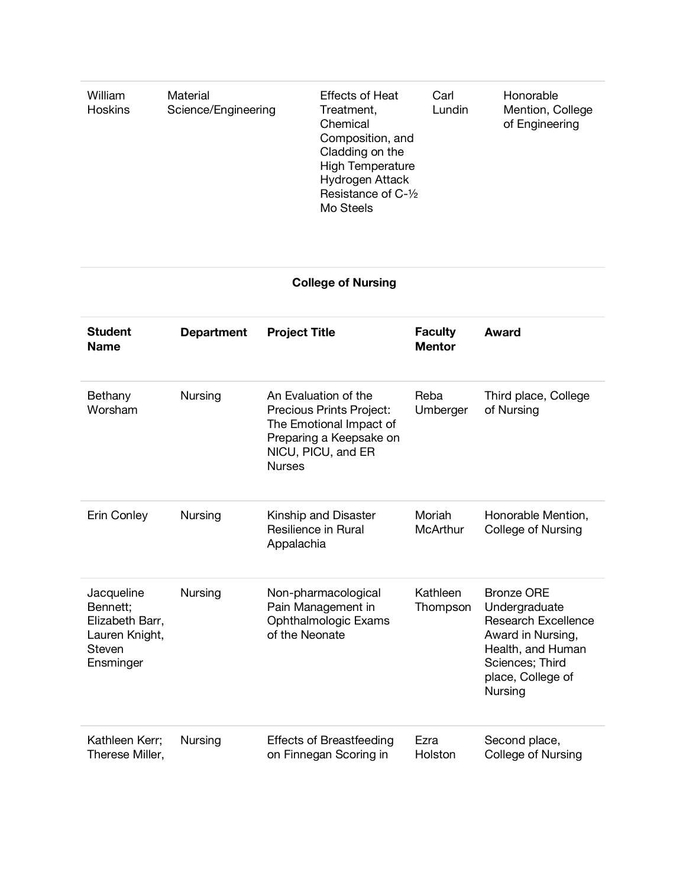| Material<br>William<br>Science/Engineering<br><b>Hoskins</b> | <b>Effects of Heat</b><br>Treatment,<br>Chemical<br>Composition, and<br>Cladding on the<br><b>High Temperature</b><br>Hydrogen Attack<br>Resistance of C-1/2<br>Mo Steels | Carl<br>Lundin | Honorable<br>Mention, College<br>of Engineering |
|--------------------------------------------------------------|---------------------------------------------------------------------------------------------------------------------------------------------------------------------------|----------------|-------------------------------------------------|
|--------------------------------------------------------------|---------------------------------------------------------------------------------------------------------------------------------------------------------------------------|----------------|-------------------------------------------------|

# **College of Nursing**

| <b>Student</b><br><b>Name</b>                                                      | <b>Department</b> | <b>Project Title</b>                                                                                                                          | <b>Faculty</b><br><b>Mentor</b> | Award                                                                                                                                                         |
|------------------------------------------------------------------------------------|-------------------|-----------------------------------------------------------------------------------------------------------------------------------------------|---------------------------------|---------------------------------------------------------------------------------------------------------------------------------------------------------------|
| Bethany<br>Worsham                                                                 | Nursing           | An Evaluation of the<br>Precious Prints Project:<br>The Emotional Impact of<br>Preparing a Keepsake on<br>NICU, PICU, and ER<br><b>Nurses</b> | Reba<br>Umberger                | Third place, College<br>of Nursing                                                                                                                            |
| Erin Conley                                                                        | Nursing           | Kinship and Disaster<br>Resilience in Rural<br>Appalachia                                                                                     | Moriah<br><b>McArthur</b>       | Honorable Mention,<br><b>College of Nursing</b>                                                                                                               |
| Jacqueline<br>Bennett;<br>Elizabeth Barr,<br>Lauren Knight,<br>Steven<br>Ensminger | Nursing           | Non-pharmacological<br>Pain Management in<br><b>Ophthalmologic Exams</b><br>of the Neonate                                                    | Kathleen<br>Thompson            | <b>Bronze ORE</b><br>Undergraduate<br><b>Research Excellence</b><br>Award in Nursing,<br>Health, and Human<br>Sciences; Third<br>place, College of<br>Nursing |
| Kathleen Kerr;<br>Therese Miller,                                                  | Nursing           | <b>Effects of Breastfeeding</b><br>on Finnegan Scoring in                                                                                     | Ezra<br>Holston                 | Second place,<br><b>College of Nursing</b>                                                                                                                    |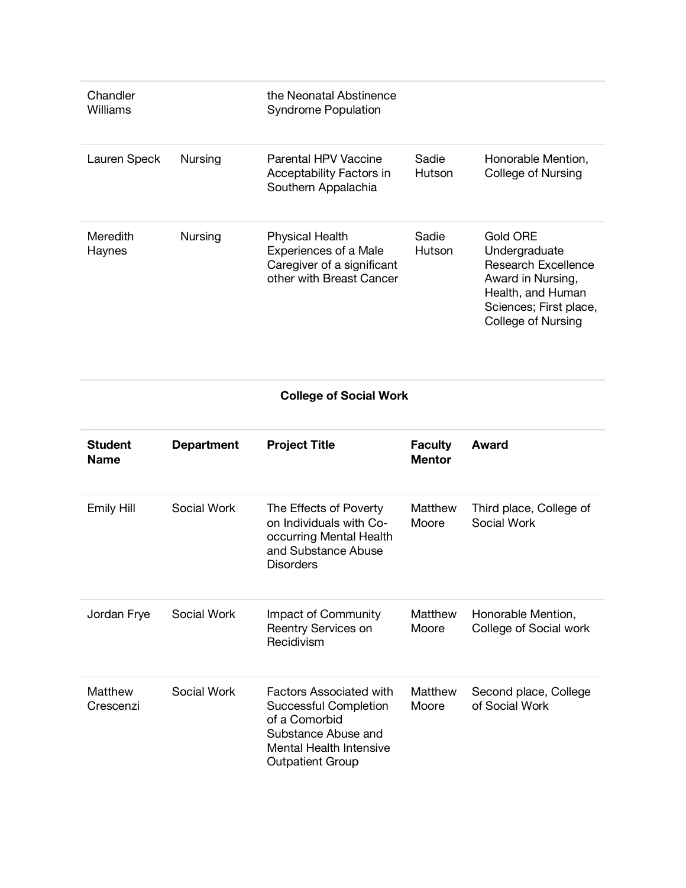| Chandler<br>Williams      |                | the Neonatal Abstinence<br><b>Syndrome Population</b>                                                            |                        |                                                                                                                                                   |
|---------------------------|----------------|------------------------------------------------------------------------------------------------------------------|------------------------|---------------------------------------------------------------------------------------------------------------------------------------------------|
| Lauren Speck              | Nursing        | Parental HPV Vaccine<br>Acceptability Factors in<br>Southern Appalachia                                          | Sadie<br><b>Hutson</b> | Honorable Mention,<br>College of Nursing                                                                                                          |
| <b>Meredith</b><br>Haynes | <b>Nursing</b> | <b>Physical Health</b><br><b>Experiences of a Male</b><br>Caregiver of a significant<br>other with Breast Cancer | Sadie<br><b>Hutson</b> | Gold ORE<br>Undergraduate<br><b>Research Excellence</b><br>Award in Nursing,<br>Health, and Human<br>Sciences; First place,<br>College of Nursing |

**College of Social Work**

| <b>Student</b><br><b>Name</b> | <b>Department</b> | <b>Project Title</b>                                                                                                                                                | <b>Faculty</b><br><b>Mentor</b> | Award                                        |
|-------------------------------|-------------------|---------------------------------------------------------------------------------------------------------------------------------------------------------------------|---------------------------------|----------------------------------------------|
| Emily Hill                    | Social Work       | The Effects of Poverty<br>on Individuals with Co-<br>occurring Mental Health<br>and Substance Abuse<br><b>Disorders</b>                                             | Matthew<br>Moore                | Third place, College of<br>Social Work       |
| Jordan Frye                   | Social Work       | Impact of Community<br>Reentry Services on<br>Recidivism                                                                                                            | Matthew<br>Moore                | Honorable Mention,<br>College of Social work |
| Matthew<br>Crescenzi          | Social Work       | <b>Factors Associated with</b><br><b>Successful Completion</b><br>of a Comorbid<br>Substance Abuse and<br><b>Mental Health Intensive</b><br><b>Outpatient Group</b> | Matthew<br>Moore                | Second place, College<br>of Social Work      |